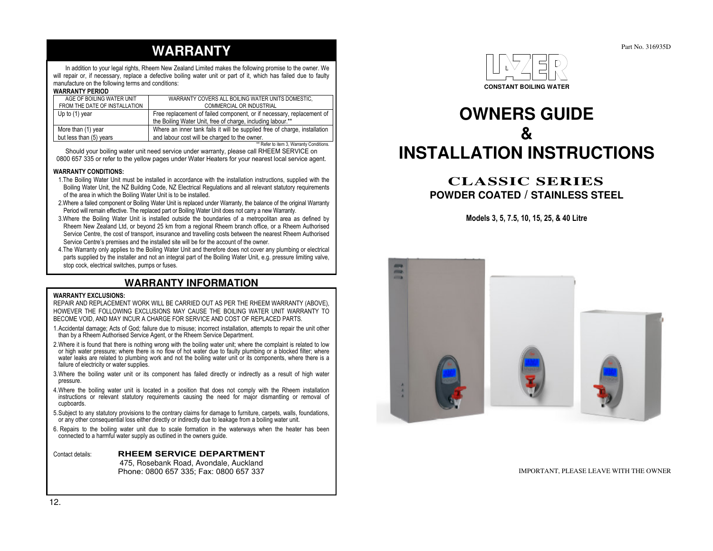# **WARRANTY**

 In addition to your legal rights, Rheem New Zealand Limited makes the following promise to the owner. We will repair or, if necessary, replace a defective boiling water unit or part of it, which has failed due to faulty manufacture on the following terms and conditions:

#### WARRANTY PERIOD

| AGE OF BOILING WATER UNIT     | WARRANTY COVERS ALL BOILING WATER UNITS DOMESTIC.                          |
|-------------------------------|----------------------------------------------------------------------------|
| FROM THE DATE OF INSTALLATION | COMMERCIAL OR INDUSTRIAL                                                   |
| Up to $(1)$ year              | Free replacement of failed component, or if necessary, replacement of      |
|                               | the Boiling Water Unit, free of charge, including labour.**                |
| More than (1) year            | Where an inner tank fails it will be supplied free of charge, installation |
| but less than (5) years       | and labour cost will be charged to the owner.                              |
|                               | ** Refer to item 3, Warranty Conditions.                                   |

Should your boiling water unit need service under warranty, please call RHEEM SERVICE on 0800 657 335 or refer to the yellow pages under Water Heaters for your nearest local service agent.

#### WARRANTY CONDITIONS:

- 1.The Boiling Water Unit must be installed in accordance with the installation instructions, supplied with the Boiling Water Unit, the NZ Building Code, NZ Electrical Regulations and all relevant statutory requirements of the area in which the Boiling Water Unit is to be installed.
- 2.Where a failed component or Boiling Water Unit is replaced under Warranty, the balance of the original Warranty Period will remain effective. The replaced part or Boiling Water Unit does not carry a new Warranty.
- 3.Where the Boiling Water Unit is installed outside the boundaries of a metropolitan area as defined by Rheem New Zealand Ltd, or beyond 25 km from a regional Rheem branch office, or a Rheem Authorised Service Centre, the cost of transport, insurance and travelling costs between the nearest Rheem Authorised Service Centre's premises and the installed site will be for the account of the owner.
- 4.The Warranty only applies to the Boiling Water Unit and therefore does not cover any plumbing or electrical parts supplied by the installer and not an integral part of the Boiling Water Unit, e.g. pressure limiting valve, stop cock, electrical switches, pumps or fuses.

# **WARRANTY INFORMATION**

#### WARRANTY EXCLUSIONS:

 REPAIR AND REPLACEMENT WORK WILL BE CARRIED OUT AS PER THE RHEEM WARRANTY (ABOVE), HOWEVER THE FOLLOWING EXCLUSIONS MAY CAUSE THE BOILING WATER UNIT WARRANTY TO BECOME VOID, AND MAY INCUR A CHARGE FOR SERVICE AND COST OF REPLACED PARTS.

- 1.Accidental damage; Acts of God; failure due to misuse; incorrect installation, attempts to repair the unit other than by a Rheem Authorised Service Agent, or the Rheem Service Department.
- 2.Where it is found that there is nothing wrong with the boiling water unit; where the complaint is related to low or high water pressure; where there is no flow of hot water due to faulty plumbing or a blocked filter; where water leaks are related to plumbing work and not the boiling water unit or its components, where there is a failure of electricity or water supplies.
- 3.Where the boiling water unit or its component has failed directly or indirectly as a result of high water pressure.
- 4.Where the boiling water unit is located in a position that does not comply with the Rheem installation instructions or relevant statutory requirements causing the need for major dismantling or removal of cupboards.
- 5.Subject to any statutory provisions to the contrary claims for damage to furniture, carpets, walls, foundations, or any other consequential loss either directly or indirectly due to leakage from a boiling water unit.
- 6. Repairs to the boiling water unit due to scale formation in the waterways when the heater has been connected to a harmful water supply as outlined in the owners guide.

Contact details: RHEEM SERVICE DEPARTMENT 475, Rosebank Road, Avondale, Auckland Phone: 0800 657 335; Fax: 0800 657 337



# **OWNERS GUIDE & INSTALLATION INSTRUCTIONS**

# **CLASSIC SERIES POWDER COATED / STAINLESS STEEL**

Models 3, 5, 7.5, 10, 15, 25, & 40 Litre



#### IMPORTANT, PLEASE LEAVE WITH THE OWNER

12.

Part No. 316935D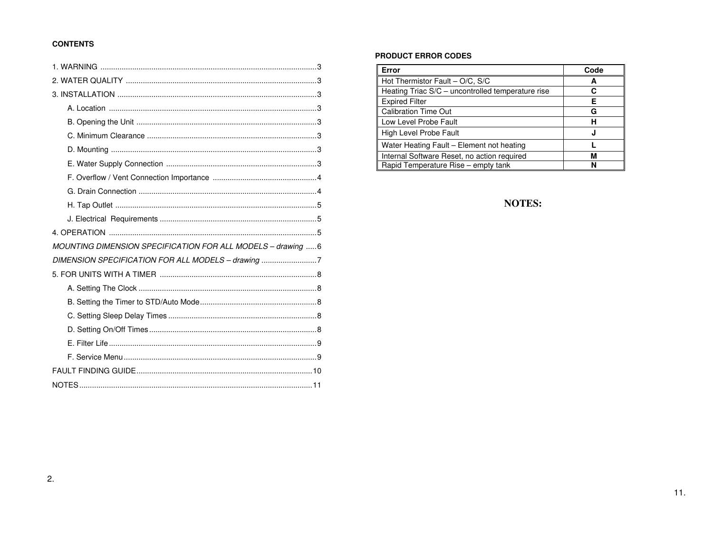# **CONTENTS**

| MOUNTING DIMENSION SPECIFICATION FOR ALL MODELS - drawing 6 |
|-------------------------------------------------------------|
| DIMENSION SPECIFICATION FOR ALL MODELS - drawing 7          |
|                                                             |
|                                                             |
|                                                             |
|                                                             |
|                                                             |
|                                                             |
|                                                             |
|                                                             |
|                                                             |

# **PRODUCT ERROR CODES**

| Error                                             | Code |
|---------------------------------------------------|------|
| Hot Thermistor Fault - O/C, S/C                   | А    |
| Heating Triac S/C - uncontrolled temperature rise | С    |
| <b>Expired Filter</b>                             | F    |
| <b>Calibration Time Out</b>                       | G    |
| Low Level Probe Fault                             | н    |
| <b>High Level Probe Fault</b>                     | J    |
| Water Heating Fault - Element not heating         |      |
| Internal Software Reset, no action required       | м    |
| Rapid Temperature Rise – empty tank               | N    |

# NOTES: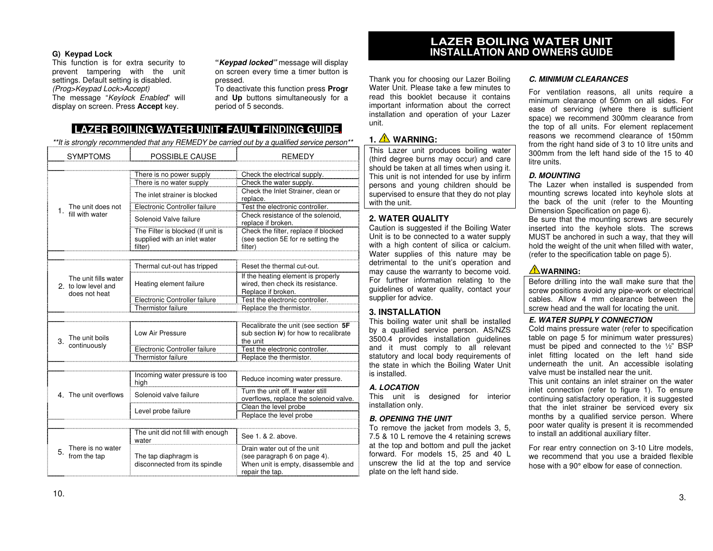### **G) Keypad Lock**

 This function is for extra security to prevent tampering with the unit settings. Default setting is disabled. (Prog>Keypad Lock>Accept)The message "Keylock Enabled" will display on screen. Press **Accept** key.

**"Keypad locked"** message will display on screen every time a timer button is pressed.

 To deactivate this function press **Progr** and **Up** buttons simultaneously for a period of 5 seconds.

# **LAZER BOILING WATER UNIT: FAULT FINDING GUIDE.**

\*\*It is strongly recommended that any REMEDY be carried out by a qualified service person\*\*

| <b>SYMPTOMS</b>                                              | POSSIBLE CAUSE                                                               | <b>REMEDY</b>                                                                                                         |  |  |
|--------------------------------------------------------------|------------------------------------------------------------------------------|-----------------------------------------------------------------------------------------------------------------------|--|--|
|                                                              | There is no power supply                                                     | Check the electrical supply.                                                                                          |  |  |
|                                                              | There is no water supply                                                     | Check the water supply.                                                                                               |  |  |
|                                                              | The inlet strainer is blocked                                                | Check the Inlet Strainer, clean or<br>replace.                                                                        |  |  |
| The unit does not<br>1.                                      | Electronic Controller failure                                                | Test the electronic controller.                                                                                       |  |  |
| fill with water                                              | Solenoid Valve failure                                                       | Check resistance of the solenoid,<br>replace if broken.                                                               |  |  |
|                                                              | The Filter is blocked (If unit is<br>supplied with an inlet water<br>filter) | Check the filter, replace if blocked<br>(see section 5E for re setting the<br>filter)                                 |  |  |
|                                                              |                                                                              |                                                                                                                       |  |  |
|                                                              | Thermal cut-out has tripped                                                  | Reset the thermal cut-out.                                                                                            |  |  |
| The unit fills water<br>2. to low level and<br>does not heat | Heating element failure                                                      | If the heating element is properly<br>wired, then check its resistance.<br>Replace if broken.                         |  |  |
|                                                              | Electronic Controller failure                                                | Test the electronic controller.                                                                                       |  |  |
|                                                              | Thermistor failure                                                           | Replace the thermistor.                                                                                               |  |  |
|                                                              |                                                                              |                                                                                                                       |  |  |
| The unit boils<br>3.                                         | Low Air Pressure                                                             | Recalibrate the unit (see section 5F<br>sub section iv) for how to recalibrate<br>the unit                            |  |  |
| continuously                                                 | Electronic Controller failure                                                | Test the electronic controller.                                                                                       |  |  |
|                                                              | Thermistor failure                                                           | Replace the thermistor.                                                                                               |  |  |
|                                                              |                                                                              |                                                                                                                       |  |  |
|                                                              | Incoming water pressure is too<br>high                                       | Reduce incoming water pressure.                                                                                       |  |  |
| 4. The unit overflows                                        | Solenoid valve failure                                                       | Turn the unit off. If water still<br>overflows, replace the solenoid valve.                                           |  |  |
|                                                              |                                                                              | Clean the level probe                                                                                                 |  |  |
|                                                              | Level probe failure                                                          | Replace the level probe                                                                                               |  |  |
|                                                              |                                                                              |                                                                                                                       |  |  |
|                                                              | The unit did not fill with enough<br>water                                   | See 1. & 2. above.                                                                                                    |  |  |
| There is no water<br>5.<br>from the tap                      | The tap diaphragm is<br>disconnected from its spindle                        | Drain water out of the unit<br>(see paragraph 6 on page 4).<br>When unit is empty, disassemble and<br>repair the tap. |  |  |

# **LAZER BOILING WATER UNIT INSTALLATION AND OWNERS GUIDE**

Thank you for choosing our Lazer Boiling Water Unit. Please take a few minutes to read this booklet because it contains important information about the correct installation and operation of your Lazer unit.

# **1. WARNING:**

 This Lazer unit produces boiling water (third degree burns may occur) and care should be taken at all times when using it. This unit is not intended for use by infirm persons and young children should be supervised to ensure that they do not play with the unit.

# **2. WATER QUALITY**

 Caution is suggested if the Boiling Water Unit is to be connected to a water supply with a high content of silica or calcium. Water supplies of this nature may be detrimental to the unit's operation and may cause the warranty to become void. For further information relating to the guidelines of water quality, contact your supplier for advice.

# **3. INSTALLATION**

 This boiling water unit shall be installed by a qualified service person. AS/NZS 3500.4 provides installation guidelines and it must comply to all relevant statutory and local body requirements of the state in which the Boiling Water Unit is installed.

### **A. LOCATION**

 This unit is designed for interior installation only.

#### **B. OPENING THE UNIT**

 To remove the jacket from models 3, 5, 7.5 & 10 L remove the 4 retaining screws at the top and bottom and pull the jacket forward. For models 15, 25 and 40 L unscrew the lid at the top and service plate on the left hand side.

#### **C. MINIMUM CLEARANCES**

For ventilation reasons, all units require a minimum clearance of 50mm on all sides. For ease of servicing (where there is sufficient space) we recommend 300mm clearance from the top of all units. For element replacement reasons we recommend clearance of 150mm from the right hand side of 3 to 10 litre units and 300mm from the left hand side of the 15 to 40 litre units.

### **D. MOUNTING**

 The Lazer when installed is suspended from mounting screws located into keyhole slots at the back of the unit (refer to the Mounting Dimension Specification on page 6).

 Be sure that the mounting screws are securely inserted into the keyhole slots. The screws MUST be anchored in such a way, that they will hold the weight of the unit when filled with water,(refer to the specification table on page 5).

# **WARNING:**

 Before drilling into the wall make sure that the screw positions avoid any pipe-work or electrical cables. Allow 4 mm clearance between the screw head and the wall for locating the unit.

#### **E. WATER SUPPLY CONNECTION**

 Cold mains pressure water (refer to specification table on page 5 for minimum water pressures) must be piped and connected to the ½" BSP inlet fitting located on the left hand side underneath the unit. An accessible isolating valve must be installed near the unit.

 This unit contains an inlet strainer on the water inlet connection (refer to figure 1). To ensure continuing satisfactory operation, it is suggested that the inlet strainer be serviced every six months by a qualified service person. Where poor water quality is present it is recommended to install an additional auxiliary filter.

For rear entry connection on 3-10 Litre models, we recommend that you use a braided flexible hose with a 90° elbow for ease of connection.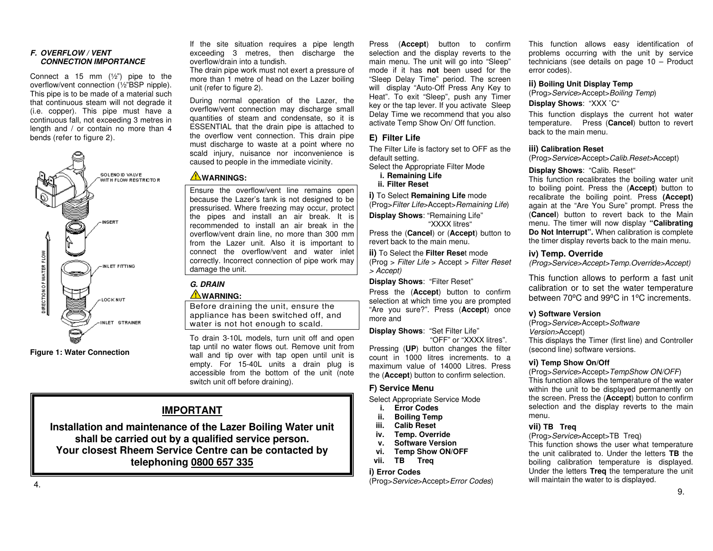#### **F. OVERFLOW / VENTCONNECTION IMPORTANCE**

Connect a 15 mm  $(\frac{1}{2})$  pipe to the overflow/vent connection (½"BSP nipple). This pipe is to be made of a material such that continuous steam will not degrade it (i.e. copper). This pipe must have a continuous fall, not exceeding 3 metres in length and / or contain no more than 4 bends (refer to figure 2).



**Figure 1: Water Connection** 

If the site situation requires a pipe length exceeding 3 metres, then discharge the overflow/drain into a tundish.

 The drain pipe work must not exert a pressure of more than 1 metre of head on the Lazer boiling unit (refer to figure 2).

During normal operation of the Lazer, the overflow/vent connection may discharge small quantities of steam and condensate, so it is ESSENTIAL that the drain pipe is attached to the overflow vent connection. This drain pipe must discharge to waste at a point where no scald injury, nuisance nor inconvenience is caused to people in the immediate vicinity.

# **WARNINGS:**

Ensure the overflow/vent line remains open because the Lazer's tank is not designed to be pressurised. Where freezing may occur, protect the pipes and install an air break. It is recommended to install an air break in the overflow/vent drain line, no more than 300 mm from the Lazer unit. Also it is important to connect the overflow/vent and water inlet correctly. Incorrect connection of pipe work may damage the unit.

# **G. DRAIN**

# **WARNING:**

 Before draining the unit, ensure the appliance has been switched off, and water is not hot enough to scald.

To drain 3-10L models, turn unit off and open tap until no water flows out. Remove unit from wall and tip over with tap open until unit is empty. For 15-40L units a drain plug is accessible from the bottom of the unit (note switch unit off before draining).

# **IMPORTANT**

**Installation and maintenance of the Lazer Boiling Water unit shall be carried out by a qualified service person. Your closest Rheem Service Centre can be contacted bytelephoning 0800 657 335**

Press (**Accept**) button to confirm selection and the display reverts to the main menu. The unit will go into "Sleep" mode if it has **not** been used for the "Sleep Delay Time" period. The screen will display "Auto-Off Press Any Key to Heat". To exit "Sleep", push any Timer key or the tap lever. If you activate Sleep Delay Time we recommend that you also activate Temp Show On/ Off function.

### **E) Filter Life**

The Filter Life is factory set to OFF as the default setting.

Select the Appropriate Filter Mode

**i. Remaining Lifeii. Filter Reset**

**i)** To Select **Remaining Life** mode (Prog>Filter Life>Accept>Remaining Life)

**Display Shows**: "Remaining Life"

"XXXX litres"

 Press the (**Cancel**) or (**Accept**) button to revert back to the main menu.

#### **ii)** To Select the **Filter Rese**t mode

 (Prog > Filter Life > Accept > Filter Reset > Accept)

**Display Shows**: "Filter Reset"

 Press the (**Accept**) button to confirm selection at which time you are prompted "Are you sure?". Press (**Accept**) once more and

**Display Shows**: "Set Filter Life"

 "OFF" or "XXXX litres". Pressing (**UP**) button changes the filter count in 1000 litres increments. to a maximum value of 14000 Litres. Press the (**Accept**) button to confirm selection.

### **F) Service Menu**

Select Appropriate Service Mode

- **i. Error Codes**
- **ii. Boiling Temp**
- **iii. Calib Reset**
- **iv. Temp. Override**
- **v. Software Version**
- **vi. Temp Show ON/OFF**
- **vii. TB Treq**

# **i) Error Codes**

(Prog>Service>Accept>Error Codes)

This function allows easy identification of problems occurring with the unit by service technicians (see details on page 10 – Product error codes).

#### **ii) Boiling Unit Display Temp**

 (Prog>Service>Accept>Boiling Temp) **Display Shows**: "XXX ˚C"

This function displays the current hot water temperature. Press (**Cancel**) button to revert back to the main menu.

#### **iii) Calibration Reset**

(Prog>Service>Accept>Calib.Reset>Accept)

#### **Display Shows**: "Calib. Reset"

 This function recalibrates the boiling water unit to boiling point. Press the (**Accept**) button to recalibrate the boiling point. Press **(Accept)** again at the "Are You Sure" prompt. Press the (**Cancel**) button to revert back to the Main menu. The timer will now display **"Calibrating Do Not Interrupt".** When calibration is complete the timer display reverts back to the main menu.

### **iv) Temp. Override**

(Prog>Service>Accept>Temp.Override>Accept)

This function allows to perform a fast unit calibration or to set the water temperature between 70<sup>o</sup>C and 99<sup>o</sup>C in 1<sup>o</sup>C increments.

#### **v) Software Version**

 (Prog>Service>Accept>Software Version>Accept) This displays the Timer (first line) and Controller(second line) software versions.

#### **vi) Temp Show On/Off**

 (Prog>Service>Accept>TempShow ON/OFF) This function allows the temperature of the water within the unit to be displayed permanently on the screen. Press the (**Accept**) button to confirm selection and the display reverts to the main menu.

#### **vii) TB Treq**

(Prog>Service>Accept>TB Treq)

 This function shows the user what temperature the unit calibrated to. Under the letters **TB** the boiling calibration temperature is displayed. Under the letters **Treq** the temperature the unit will maintain the water to is displayed.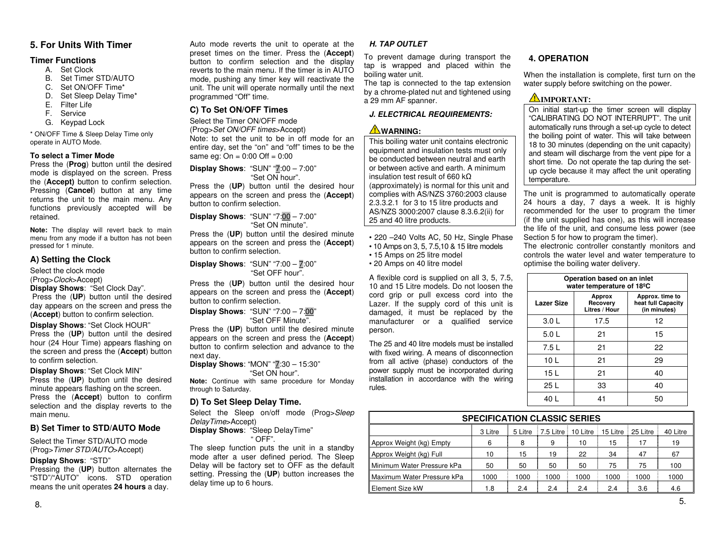# **5. For Units With Timer**

#### **Timer Functions**

- A. Set Clock
- B. Set Timer STD/AUTO
- C. Set ON/OFF Time\*
- D. Set Sleep Delay Time\*
- E. Filter Life
- F. Service
- G. Keypad Lock

\* ON/OFF Time & Sleep Delay Time only operate in AUTO Mode.

#### **To select a Timer Mode**

 Press the (**Prog**) button until the desired mode is displayed on the screen. Press the (**Accept)** button to confirm selection. Pressing (**Cancel**) button at any time returns the unit to the main menu. Any functions previously accepted will be retained.

**Note:** The display will revert back to main menu from any mode if a button has not been pressed for 1 minute.

### **A) Setting the Clock**

Select the clock mode

(Prog>Clock>Accept)

to confirm selection.

**Display Shows**: "Set Clock Day".

 Press the (**UP**) button until the desired day appears on the screen and press the (**Accept**) button to confirm selection.

**Display Shows**: "Set Clock HOUR" Press the (**UP**) button until the desired hour (24 Hour Time) appears flashing on the screen and press the (**Accept**) button

### **Display Shows**: "Set Clock MIN"

 Press the (**UP**) button until the desired minute appears flashing on the screen. Press the (**Accept**) button to confirm selection and the display reverts to the main menu.

# **B) Set Timer to STD/AUTO Mode**

Select the Timer STD/AUTO mode (Prog>Timer STD/AUTO>Accept)

#### **Display Shows**: "STD"

 Pressing the (**UP**) button alternates the "STD"/"AUTO" icons. STD operation means the unit operates **24 hours** a day.

Auto mode reverts the unit to operate at the preset times on the timer. Press the (**Accept**) button to confirm selection and the display reverts to the main menu. If the timer is in AUTO mode, pushing any timer key will reactivate the unit. The unit will operate normally until the nextprogrammed "Off" time.

# **C) To Set ON/OFF Times**

Select the Timer ON/OFF mode (Prog>Set ON/OFF times>Accept) Note: to set the unit to be in off mode for an entire day, set the "on" and "off" times to be the same eg:  $On = 0:00$  Off =  $0:00$ 

#### **Display Shows**: "SUN" "7:00 – 7:00" "Set ON hour".

 Press the (**UP**) button until the desired hour appears on the screen and press the (**Accept**) button to confirm selection.

#### **Display Shows**: "SUN" "7:00 – 7:00" "Set ON minute".

 Press the (**UP**) button until the desired minute appears on the screen and press the (**Accept**) button to confirm selection.

**Display Shows**: "SUN" "7:00 – 7:00" "Set OFF hour".

Press the (**UP**) button until the desired hour appears on the screen and press the (**Accept**) button to confirm selection.

#### **Display Shows**: "SUN" "7:00 – 7:00" "Set OFF Minute".

 Press the (**UP**) button until the desired minute appears on the screen and press the (**Accept**) button to confirm selection and advance to the next day.

**Display Shows**: "MON" "**7:30 – 15:30"** "Set ON hour".

 **Note:** Continue with same procedure for Monday through to Saturday.

### **D) To Set Sleep Delay Time.**

Select the Sleep on/off mode (Prog>Sleep DelayTime>Accept)

#### **Display Shows**: "Sleep DelayTime" " OFF".

 The sleep function puts the unit in a standby mode after a user defined period. The Sleep Delay will be factory set to OFF as the default setting. Pressing the (**UP**) button increases the delay time up to 6 hours.

# **H. TAP OUTLET**

To prevent damage during transport the tap is wrapped and placed within the boiling water unit.

 The tap is connected to the tap extension by a chrome-plated nut and tightened using a 29 mm AF spanner.

# **J. ELECTRICAL REQUIREMENTS:**

# **WARNING:**

 This boiling water unit contains electronic equipment and insulation tests must only be conducted between neutral and earth or between active and earth. A minimum insulation test result of 660 kΩ (approximately) is normal for this unit and complies with AS/NZS 3760:2003 clause 2.3.3.2.1 for 3 to 15 litre products and AS/NZS 3000:2007 clause 8.3.6.2(ii) for 25 and 40 litre products.

• 220 –240 Volts AC, 50 Hz, Single Phase • 10 Amps on 3, 5, 7.5,10 & 15 litre models

- 15 Amps on 25 litre model
- 20 Amps on 40 litre model

A flexible cord is supplied on all 3, 5, 7.5, 10 and 15 Litre models. Do not loosen the cord grip or pull excess cord into the Lazer. If the supply cord of this unit is damaged, it must be replaced by the manufacturer or a qualified service person.

The 25 and 40 litre models must be installed with fixed wiring. A means of disconnection from all active (phase) conductors of the power supply must be incorporated during installation in accordance with the wiring rules.

# **4. OPERATION**

When the installation is complete, first turn on the water supply before switching on the power.

# **IMPORTANT:**

 On initial start-up the timer screen will display "CALIBRATING DO NOT INTERRUPT". The unit automatically runs through a set-up cycle to detect the boiling point of water. This will take between 18 to 30 minutes (depending on the unit capacity) and steam will discharge from the vent pipe for a short time. Do not operate the tap during the setup cycle because it may affect the unit operating temperature.

The unit is programmed to automatically operate 24 hours a day, 7 days a week. It is highly recommended for the user to program the timer (if the unit supplied has one), as this will increase the life of the unit, and consume less power (see Section 5 for how to program the timer).

 The electronic controller constantly monitors and controls the water level and water temperature to optimise the boiling water delivery.

| Operation based on an inlet<br>water temperature of 18 <sup>o</sup> C |                                                       |    |  |  |  |  |
|-----------------------------------------------------------------------|-------------------------------------------------------|----|--|--|--|--|
| <b>Lazer Size</b>                                                     | Approx. time to<br>heat full Capacity<br>(in minutes) |    |  |  |  |  |
| 3.0 <sub>L</sub>                                                      | 17.5                                                  | 12 |  |  |  |  |
| 5.0 <sub>L</sub>                                                      | 21                                                    | 15 |  |  |  |  |
| 7.5 L                                                                 | 21                                                    | 22 |  |  |  |  |
| 10 <sub>L</sub>                                                       | 21                                                    | 29 |  |  |  |  |
| 15 L                                                                  | 21                                                    | 40 |  |  |  |  |
| 25 L                                                                  | 33                                                    | 40 |  |  |  |  |
| 40 L                                                                  | 41                                                    | 50 |  |  |  |  |

| <b>SPECIFICATION CLASSIC SERIES</b> |         |         |                                            |      |      |      |          |  |  |
|-------------------------------------|---------|---------|--------------------------------------------|------|------|------|----------|--|--|
|                                     | 3 Litre | 5 Litre | 7.5 Litre   10 Litre   15 Litre   25 Litre |      |      |      | 40 Litre |  |  |
| Approx Weight (kg) Empty            | 6       | 8       | 9                                          | 10   | 15   | 17   | 19       |  |  |
| Approx Weight (kg) Full             | 10      | 15      | 19                                         | 22   | 34   | 47   | 67       |  |  |
| Minimum Water Pressure kPa          | 50      | 50      | 50                                         | 50   | 75   | 75   | 100      |  |  |
| Maximum Water Pressure kPa          | 1000    | 1000    | 1000                                       | 1000 | 1000 | 1000 | 1000     |  |  |
| Element Size kW                     | 1.8     | 2.4     | 2.4                                        | 2.4  | 2.4  | 3.6  | 4.6      |  |  |